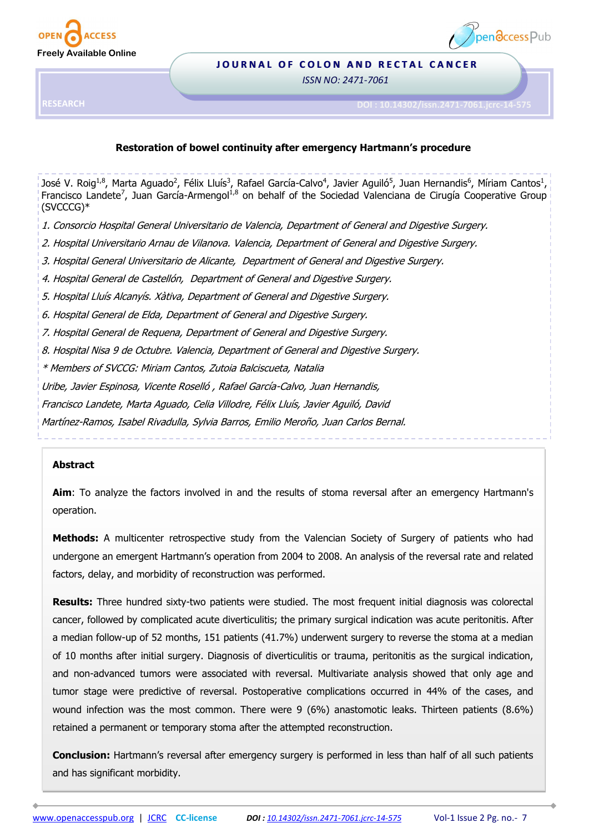



## **JOURNAL OF COLON AND RECTAL CANCER**

*ISSN NO: 2471-7061* 

**RESEARCH**

**DOI : 10.14302/issn.2471-7061.jcrc-14-575**

# **Restoration of bowel continuity after emergency Hartmann's procedure**

José V. Roig<sup>1,8</sup>, Marta Aguado<sup>2</sup>, Félix Lluís<sup>3</sup>, Rafael García-Calvo<sup>4</sup>, Javier Aguiló<sup>5</sup>, Juan Hernandis<sup>6</sup>, Míriam Cantos<sup>1</sup>, Francisco Landete<sup>7</sup>, Juan García-Armengol<sup>1,8</sup> on behalf of the Sociedad Valenciana de Cirugía Cooperative Group (SVCCCG)\*

1. Consorcio Hospital General Universitario de Valencia, Department of General and Digestive Surgery.

2. Hospital Universitario Arnau de Vilanova. Valencia, Department of General and Digestive Surgery.

3. Hospital General Universitario de Alicante, Department of General and Digestive Surgery.

4. Hospital General de Castellón, Department of General and Digestive Surgery.

5. Hospital Lluís Alcanyís. Xàtiva, Department of General and Digestive Surgery.

6. Hospital General de Elda, Department of General and Digestive Surgery.

7. Hospital General de Requena, Department of General and Digestive Surgery.

8. Hospital Nisa 9 de Octubre. Valencia, Department of General and Digestive Surgery.

\* Members of SVCCG: Miriam Cantos, Zutoia Balciscueta, Natalia

Uribe, Javier Espinosa, Vicente Roselló , Rafael García-Calvo, Juan Hernandis,

Francisco Landete, Marta Aguado, Celia Villodre, Félix Lluís, Javier Aguiló, David

Martínez-Ramos, Isabel Rivadulla, Sylvia Barros, Emilio Meroño, Juan Carlos Bernal.

### **Abstract**

**Aim**: To analyze the factors involved in and the results of stoma reversal after an emergency Hartmann's operation.

**Methods:** A multicenter retrospective study from the Valencian Society of Surgery of patients who had undergone an emergent Hartmann's operation from 2004 to 2008. An analysis of the reversal rate and related factors, delay, and morbidity of reconstruction was performed.

**Results:** Three hundred sixty-two patients were studied. The most frequent initial diagnosis was colorectal cancer, followed by complicated acute diverticulitis; the primary surgical indication was acute peritonitis. After a median follow-up of 52 months, 151 patients (41.7%) underwent surgery to reverse the stoma at a median of 10 months after initial surgery. Diagnosis of diverticulitis or trauma, peritonitis as the surgical indication, and non-advanced tumors were associated with reversal. Multivariate analysis showed that only age and tumor stage were predictive of reversal. Postoperative complications occurred in 44% of the cases, and wound infection was the most common. There were 9 (6%) anastomotic leaks. Thirteen patients (8.6%) retained a permanent or temporary stoma after the attempted reconstruction.

**Conclusion:** Hartmann's reversal after emergency surgery is performed in less than half of all such patients and has significant morbidity.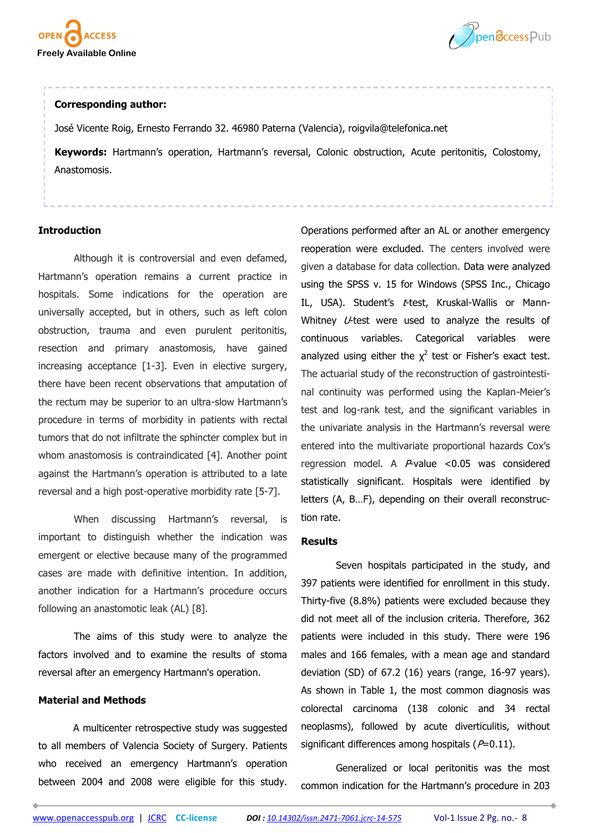



## **Corresponding author:**

José Vicente Roig, Ernesto Ferrando 32. 46980 Paterna (Valencia), roigvila@telefonica.net **Keywords:** Hartmann's operation, Hartmann's reversal, Colonic obstruction, Acute peritonitis, Colostomy, Anastomosis.

#### **Introduction**

Although it is controversial and even defamed, Hartmann's operation remains a current practice in hospitals. Some indications for the operation are universally accepted, but in others, such as left colon obstruction, trauma and even purulent peritonitis, resection and primary anastomosis, have gained increasing acceptance [1-3]. Even in elective surgery, there have been recent observations that amputation of the rectum may be superior to an ultra-slow Hartmann's procedure in terms of morbidity in patients with rectal tumors that do not infiltrate the sphincter complex but in whom anastomosis is contraindicated [4]. Another point against the Hartmann's operation is attributed to a late reversal and a high post-operative morbidity rate [5-7].

When discussing Hartmann's reversal, is important to distinguish whether the indication was emergent or elective because many of the programmed cases are made with definitive intention. In addition, another indication for a Hartmann's procedure occurs following an anastomotic leak (AL) [8].

The aims of this study were to analyze the factors involved and to examine the results of stoma reversal after an emergency Hartmann's operation.

# **Material and Methods**

A multicenter retrospective study was suggested to all members of Valencia Society of Surgery. Patients who received an emergency Hartmann's operation between 2004 and 2008 were eligible for this study.

Operations performed after an AL or another emergency reoperation were excluded. The centers involved were given a database for data collection. Data were analyzed using the SPSS v. 15 for Windows (SPSS Inc., Chicago IL, USA). Student's t-test, Kruskal-Wallis or Mann-Whitney  $U$ -test were used to analyze the results of continuous variables. Categorical variables were analyzed using either the  $\chi^2$  test or Fisher's exact test. The actuarial study of the reconstruction of gastrointestinal continuity was performed using the Kaplan-Meier's test and log-rank test, and the significant variables in the univariate analysis in the Hartmann's reversal were entered into the multivariate proportional hazards Cox's regression model. A P-value <0.05 was considered statistically significant. Hospitals were identified by letters (A, B…F), depending on their overall reconstruction rate.

# **Results**

Seven hospitals participated in the study, and 397 patients were identified for enrollment in this study. Thirty-five (8.8%) patients were excluded because they did not meet all of the inclusion criteria. Therefore, 362 patients were included in this study. There were 196 males and 166 females, with a mean age and standard deviation (SD) of 67.2 (16) years (range, 16-97 years). As shown in Table 1, the most common diagnosis was colorectal carcinoma (138 colonic and 34 rectal neoplasms), followed by acute diverticulitis, without significant differences among hospitals ( $P=0.11$ ).

Generalized or local peritonitis was the most common indication for the Hartmann's procedure in 203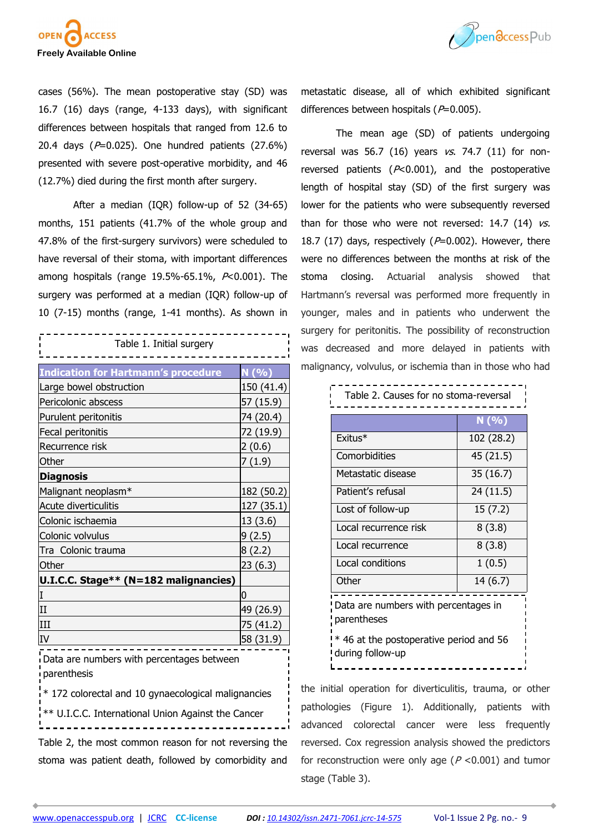



cases (56%). The mean postoperative stay (SD) was 16.7 (16) days (range, 4-133 days), with significant differences between hospitals that ranged from 12.6 to 20.4 days ( $P=0.025$ ). One hundred patients (27.6%) presented with severe post-operative morbidity, and 46 (12.7%) died during the first month after surgery.

After a median (IQR) follow-up of 52 (34-65) months, 151 patients (41.7% of the whole group and 47.8% of the first-surgery survivors) were scheduled to have reversal of their stoma, with important differences among hospitals (range  $19.5\% - 65.1\%$ ,  $P< 0.001$ ). The surgery was performed at a median (IQR) follow-up of 10 (7-15) months (range, 1-41 months). As shown in

| Table 1. Initial surgery                                         |                  |  |  |  |  |
|------------------------------------------------------------------|------------------|--|--|--|--|
| <b>Indication for Hartmann's procedure</b>                       | N(%)             |  |  |  |  |
| Large bowel obstruction                                          | 150 (41.4)       |  |  |  |  |
| Pericolonic abscess                                              | 57 (15.9)        |  |  |  |  |
| Purulent peritonitis                                             | 74 (20.4)        |  |  |  |  |
| Fecal peritonitis                                                | 72 (19.9)        |  |  |  |  |
| Recurrence risk                                                  | 2(0.6)           |  |  |  |  |
| Other                                                            | 7(1.9)           |  |  |  |  |
| <b>Diagnosis</b>                                                 |                  |  |  |  |  |
| Malignant neoplasm*                                              | 182 (50.2)       |  |  |  |  |
| Acute diverticulitis                                             | 127 (35.1)       |  |  |  |  |
| Colonic ischaemia                                                | 13(3.6)          |  |  |  |  |
| Colonic volvulus                                                 | 9 (2.5)          |  |  |  |  |
| Tra Colonic trauma                                               | 8(2.2)           |  |  |  |  |
| Other                                                            | 23 (6.3)         |  |  |  |  |
| U.I.C.C. Stage** (N=182 malignancies)                            |                  |  |  |  |  |
| Т                                                                | 0                |  |  |  |  |
| II                                                               | 49 (26.9)        |  |  |  |  |
| III                                                              | 75 (41.2)        |  |  |  |  |
| IV                                                               | <u>58 (31.9)</u> |  |  |  |  |
| Data are numbers with percentages between<br>parenthesis         |                  |  |  |  |  |
| $\mathbf{i}$ * 172 colorectal and 10 gynaecological malignancies |                  |  |  |  |  |

<sup>\*\*</sup> U.I.C.C. International Union Against the Cancer

Table 2, the most common reason for not reversing the stoma was patient death, followed by comorbidity and metastatic disease, all of which exhibited significant differences between hospitals ( $P=0.005$ ).

The mean age (SD) of patients undergoing reversal was 56.7 (16) years  $vs.$  74.7 (11) for nonreversed patients  $(P<0.001)$ , and the postoperative length of hospital stay (SD) of the first surgery was lower for the patients who were subsequently reversed than for those who were not reversed:  $14.7$  ( $14$ )  $\sqrt{s}$ . 18.7 (17) days, respectively ( $P=0.002$ ). However, there were no differences between the months at risk of the stoma closing. Actuarial analysis showed that Hartmann's reversal was performed more frequently in younger, males and in patients who underwent the surgery for peritonitis. The possibility of reconstruction was decreased and more delayed in patients with malignancy, volvulus, or ischemia than in those who had

|                                                             | $N($ %)    |  |  |  |
|-------------------------------------------------------------|------------|--|--|--|
| Exitus*                                                     | 102 (28.2) |  |  |  |
| Comorbidities                                               | 45 (21.5)  |  |  |  |
| Metastatic disease                                          | 35 (16.7)  |  |  |  |
| Patient's refusal                                           | 24 (11.5)  |  |  |  |
| Lost of follow-up                                           | 15 (7.2)   |  |  |  |
| Local recurrence risk                                       | 8(3.8)     |  |  |  |
| Local recurrence                                            | 8(3.8)     |  |  |  |
| Local conditions                                            | 1(0.5)     |  |  |  |
| Other                                                       | 14 (6.7)   |  |  |  |
| Data are numbers with percentages in<br>parentheses         |            |  |  |  |
| * 46 at the postoperative period and 56<br>during follow-up |            |  |  |  |

the initial operation for diverticulitis, trauma, or other pathologies (Figure 1). Additionally, patients with advanced colorectal cancer were less frequently reversed. Cox regression analysis showed the predictors for reconstruction were only age ( $P < 0.001$ ) and tumor stage (Table 3).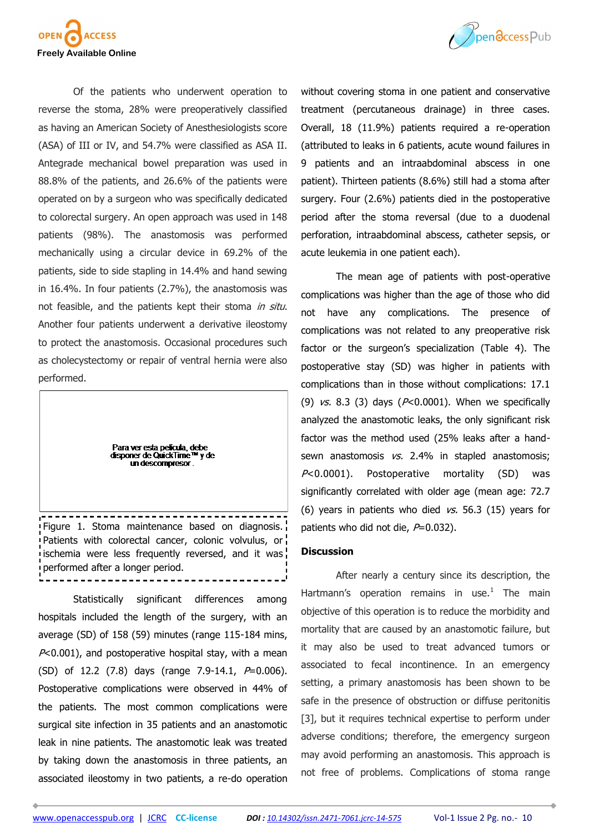

Of the patients who underwent operation to reverse the stoma, 28% were preoperatively classified as having an American Society of Anesthesiologists score (ASA) of III or IV, and 54.7% were classified as ASA II. Antegrade mechanical bowel preparation was used in 88.8% of the patients, and 26.6% of the patients were operated on by a surgeon who was specifically dedicated to colorectal surgery. An open approach was used in 148 patients (98%). The anastomosis was performed mechanically using a circular device in 69.2% of the patients, side to side stapling in 14.4% and hand sewing in 16.4%. In four patients (2.7%), the anastomosis was not feasible, and the patients kept their stoma in situ. Another four patients underwent a derivative ileostomy to protect the anastomosis. Occasional procedures such as cholecystectomy or repair of ventral hernia were also performed.



Statistically significant differences among hospitals included the length of the surgery, with an average (SD) of 158 (59) minutes (range 115-184 mins,  $P<0.001$ ), and postoperative hospital stay, with a mean (SD) of 12.2  $(7.8)$  days (range 7.9-14.1,  $P=0.006$ ). Postoperative complications were observed in 44% of the patients. The most common complications were surgical site infection in 35 patients and an anastomotic leak in nine patients. The anastomotic leak was treated by taking down the anastomosis in three patients, an associated ileostomy in two patients, a re-do operation



without covering stoma in one patient and conservative treatment (percutaneous drainage) in three cases. Overall, 18 (11.9%) patients required a re-operation (attributed to leaks in 6 patients, acute wound failures in 9 patients and an intraabdominal abscess in one patient). Thirteen patients (8.6%) still had a stoma after surgery. Four (2.6%) patients died in the postoperative period after the stoma reversal (due to a duodenal perforation, intraabdominal abscess, catheter sepsis, or acute leukemia in one patient each).

The mean age of patients with post-operative complications was higher than the age of those who did not have any complications. The presence of complications was not related to any preoperative risk factor or the surgeon's specialization (Table 4). The postoperative stay (SD) was higher in patients with complications than in those without complications: 17.1 (9)  $\sqrt{5}$ , 8.3 (3) days ( $P<0.0001$ ). When we specifically analyzed the anastomotic leaks, the only significant risk factor was the method used (25% leaks after a handsewn anastomosis  $vs.$  2.4% in stapled anastomosis; P<0.0001). Postoperative mortality (SD) was significantly correlated with older age (mean age: 72.7 (6) years in patients who died  $\sqrt{vs.}$  56.3 (15) years for patients who did not die,  $P=0.032$ ).

## **Discussion**

After nearly a century since its description, the Hartmann's operation remains in use. $1$  The main objective of this operation is to reduce the morbidity and mortality that are caused by an anastomotic failure, but it may also be used to treat advanced tumors or associated to fecal incontinence. In an emergency setting, a primary anastomosis has been shown to be safe in the presence of obstruction or diffuse peritonitis [3], but it requires technical expertise to perform under adverse conditions; therefore, the emergency surgeon may avoid performing an anastomosis. This approach is not free of problems. Complications of stoma range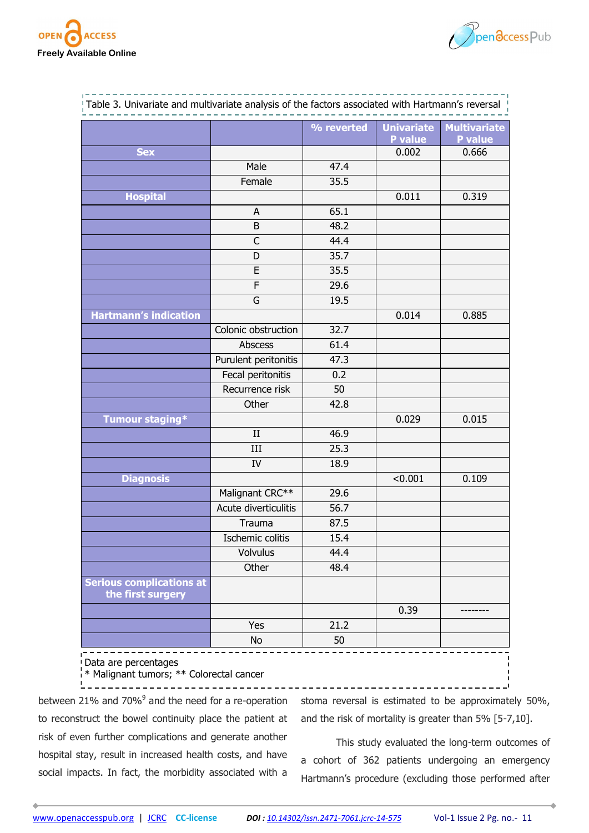



|                                                      |                      | % reverted | <b>Univariate</b> | <b>Multivariate</b> |
|------------------------------------------------------|----------------------|------------|-------------------|---------------------|
| <b>Sex</b>                                           |                      |            | P value<br>0.002  | P value<br>0.666    |
|                                                      | Male                 | 47.4       |                   |                     |
|                                                      | Female               | 35.5       |                   |                     |
| <b>Hospital</b>                                      |                      |            | 0.011             | 0.319               |
|                                                      | A                    | 65.1       |                   |                     |
|                                                      | $\sf B$              | 48.2       |                   |                     |
|                                                      | $\mathsf{C}$         | 44.4       |                   |                     |
|                                                      | D                    | 35.7       |                   |                     |
|                                                      |                      |            |                   |                     |
|                                                      | E                    | 35.5       |                   |                     |
|                                                      | F                    | 29.6       |                   |                     |
|                                                      | G                    | 19.5       |                   |                     |
| <b>Hartmann's indication</b>                         |                      |            | 0.014             | 0.885               |
|                                                      | Colonic obstruction  | 32.7       |                   |                     |
|                                                      | Abscess              | 61.4       |                   |                     |
|                                                      | Purulent peritonitis | 47.3       |                   |                     |
|                                                      | Fecal peritonitis    | 0.2        |                   |                     |
|                                                      | Recurrence risk      | 50         |                   |                     |
|                                                      | Other                | 42.8       |                   |                     |
| Tumour staging*                                      |                      |            | 0.029             | 0.015               |
|                                                      | $\rm II$             | 46.9       |                   |                     |
|                                                      | III                  | 25.3       |                   |                     |
|                                                      | IV                   | 18.9       |                   |                     |
| <b>Diagnosis</b>                                     |                      |            | < 0.001           | 0.109               |
|                                                      | Malignant CRC**      | 29.6       |                   |                     |
|                                                      | Acute diverticulitis | 56.7       |                   |                     |
|                                                      | Trauma               | 87.5       |                   |                     |
|                                                      | Ischemic colitis     | 15.4       |                   |                     |
|                                                      | Volvulus             | 44.4       |                   |                     |
|                                                      | Other                | 48.4       |                   |                     |
| <b>Serious complications at</b><br>the first surgery |                      |            |                   |                     |
|                                                      |                      |            | 0.39              |                     |
|                                                      | Yes                  | 21.2       |                   |                     |
|                                                      | No                   | 50         |                   |                     |

Data are percentages

\* Malignant tumors; \*\* Colorectal cancer

between 21% and 70%<sup>9</sup> and the need for a re-operation to reconstruct the bowel continuity place the patient at risk of even further complications and generate another hospital stay, result in increased health costs, and have social impacts. In fact, the morbidity associated with a

stoma reversal is estimated to be approximately 50%, and the risk of mortality is greater than 5% [5-7,10].

This study evaluated the long-term outcomes of a cohort of 362 patients undergoing an emergency Hartmann's procedure (excluding those performed after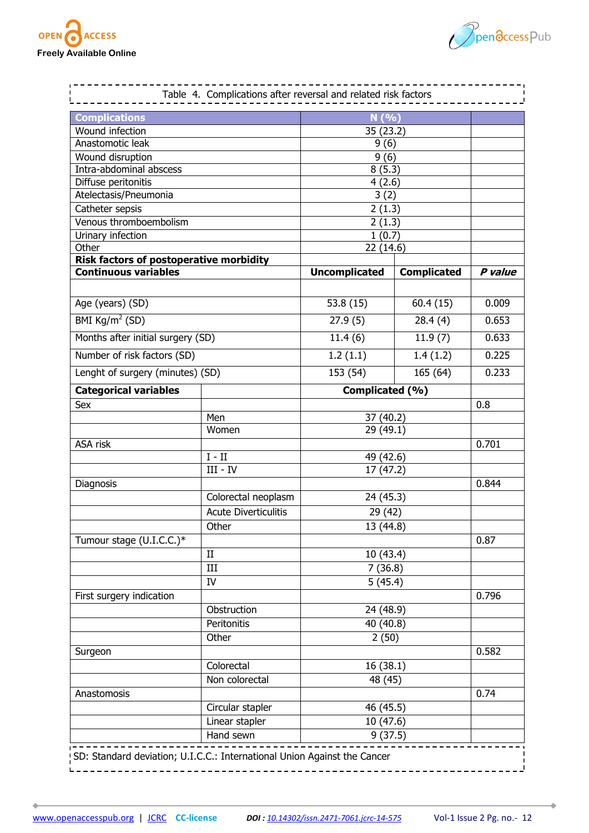



| <b>Complications</b>                                                          |                                                         | N(%)                 |                    |         |
|-------------------------------------------------------------------------------|---------------------------------------------------------|----------------------|--------------------|---------|
| Wound infection                                                               |                                                         | 35(23.2)             |                    |         |
| Anastomotic leak                                                              |                                                         | 9(6)                 |                    |         |
| Wound disruption                                                              |                                                         | 9(6)                 |                    |         |
| Intra-abdominal abscess                                                       |                                                         | 8(5.3)               |                    |         |
| Diffuse peritonitis                                                           |                                                         | 4(2.6)               |                    |         |
| Atelectasis/Pneumonia                                                         |                                                         | 3(2)                 |                    |         |
| Catheter sepsis                                                               |                                                         | 2(1.3)               |                    |         |
| Venous thromboembolism                                                        |                                                         | 2(1.3)               |                    |         |
| Urinary infection                                                             |                                                         | 1(0.7)               |                    |         |
| Other                                                                         |                                                         | 22 (14.6)            |                    |         |
| <b>Risk factors of postoperative morbidity</b><br><b>Continuous variables</b> |                                                         | <b>Uncomplicated</b> | <b>Complicated</b> | P value |
|                                                                               |                                                         |                      |                    |         |
|                                                                               |                                                         |                      |                    |         |
| Age (years) (SD)                                                              |                                                         | 53.8 (15)            | 60.4(15)           | 0.009   |
| BMI $\text{Kg/m}^2$ (SD)                                                      |                                                         | 27.9(5)              | 28.4(4)            | 0.653   |
|                                                                               | Months after initial surgery (SD)<br>11.4(6)<br>11.9(7) |                      |                    | 0.633   |
| Number of risk factors (SD)                                                   | 1.2(1.1)<br>1.4(1.2)                                    |                      |                    | 0.225   |
| Lenght of surgery (minutes) (SD)                                              |                                                         | 153 (54)             | 165 (64)           | 0.233   |
| <b>Categorical variables</b>                                                  |                                                         | Complicated (%)      |                    |         |
| Sex                                                                           |                                                         |                      |                    | 0.8     |
|                                                                               | Men                                                     | 37 (40.2)            |                    |         |
|                                                                               | Women                                                   | 29 (49.1)            |                    |         |
| ASA risk                                                                      |                                                         | 49 (42.6)            |                    | 0.701   |
|                                                                               | $\rm I$ - $\rm II$<br>$III - IV$                        |                      |                    |         |
|                                                                               |                                                         | 17 (47.2)            |                    | 0.844   |
| Diagnosis                                                                     | Colorectal neoplasm                                     |                      |                    |         |
|                                                                               | <b>Acute Diverticulitis</b>                             | 24 (45.3)            |                    |         |
|                                                                               |                                                         | 29 (42)              |                    |         |
|                                                                               | Other                                                   | 13 (44.8)            |                    |         |
| Tumour stage (U.I.C.C.)*                                                      |                                                         | 10(43.4)             |                    | 0.87    |
|                                                                               | $_{\rm II}$                                             |                      |                    |         |
|                                                                               | III                                                     | 7(36.8)              |                    |         |
|                                                                               | IV                                                      | 5(45.4)              |                    |         |
| First surgery indication                                                      |                                                         |                      |                    | 0.796   |
|                                                                               | Obstruction                                             | 24 (48.9)            |                    |         |
|                                                                               | Peritonitis                                             | 40 (40.8)            |                    |         |
|                                                                               | Other                                                   | 2(50)                |                    |         |
| Surgeon                                                                       |                                                         |                      |                    | 0.582   |
|                                                                               | Colorectal                                              | 16 (38.1)            |                    |         |
|                                                                               | Non colorectal<br>48 (45)                               |                      |                    |         |
| Anastomosis                                                                   |                                                         |                      |                    | 0.74    |
|                                                                               | Circular stapler                                        | 46 (45.5)            |                    |         |
|                                                                               | Linear stapler                                          | 10(47.6)             |                    |         |
|                                                                               | Hand sewn                                               | 9(37.5)              |                    |         |

۰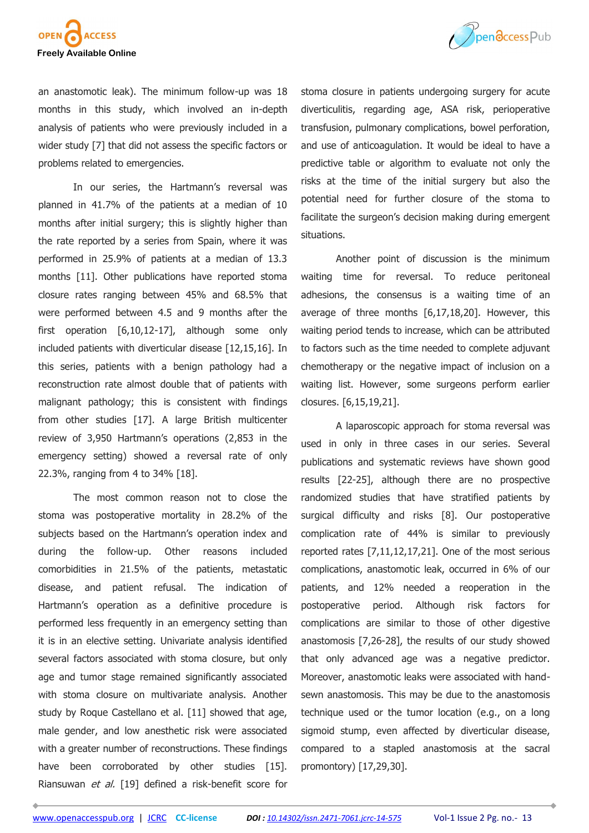



an anastomotic leak). The minimum follow-up was 18 months in this study, which involved an in-depth analysis of patients who were previously included in a wider study [7] that did not assess the specific factors or problems related to emergencies.

In our series, the Hartmann's reversal was planned in 41.7% of the patients at a median of 10 months after initial surgery; this is slightly higher than the rate reported by a series from Spain, where it was performed in 25.9% of patients at a median of 13.3 months [11]. Other publications have reported stoma closure rates ranging between 45% and 68.5% that were performed between 4.5 and 9 months after the first operation [6,10,12-17], although some only included patients with diverticular disease [12,15,16]. In this series, patients with a benign pathology had a reconstruction rate almost double that of patients with malignant pathology; this is consistent with findings from other studies [17]. A large British multicenter review of 3,950 Hartmann's operations (2,853 in the emergency setting) showed a reversal rate of only 22.3%, ranging from 4 to 34% [18].

The most common reason not to close the stoma was postoperative mortality in 28.2% of the subjects based on the Hartmann's operation index and during the follow-up. Other reasons included comorbidities in 21.5% of the patients, metastatic disease, and patient refusal. The indication of Hartmann's operation as a definitive procedure is performed less frequently in an emergency setting than it is in an elective setting. Univariate analysis identified several factors associated with stoma closure, but only age and tumor stage remained significantly associated with stoma closure on multivariate analysis. Another study by Roque Castellano et al. [11] showed that age, male gender, and low anesthetic risk were associated with a greater number of reconstructions. These findings have been corroborated by other studies [15]. Riansuwan et al. [19] defined a risk-benefit score for

stoma closure in patients undergoing surgery for acute diverticulitis, regarding age, ASA risk, perioperative transfusion, pulmonary complications, bowel perforation, and use of anticoagulation. It would be ideal to have a predictive table or algorithm to evaluate not only the risks at the time of the initial surgery but also the potential need for further closure of the stoma to facilitate the surgeon's decision making during emergent situations.

Another point of discussion is the minimum waiting time for reversal. To reduce peritoneal adhesions, the consensus is a waiting time of an average of three months [6,17,18,20]. However, this waiting period tends to increase, which can be attributed to factors such as the time needed to complete adjuvant chemotherapy or the negative impact of inclusion on a waiting list. However, some surgeons perform earlier closures. [6,15,19,21].

A laparoscopic approach for stoma reversal was used in only in three cases in our series. Several publications and systematic reviews have shown good results [22-25], although there are no prospective randomized studies that have stratified patients by surgical difficulty and risks [8]. Our postoperative complication rate of 44% is similar to previously reported rates [7,11,12,17,21]. One of the most serious complications, anastomotic leak, occurred in 6% of our patients, and 12% needed a reoperation in the postoperative period. Although risk factors for complications are similar to those of other digestive anastomosis [7,26-28], the results of our study showed that only advanced age was a negative predictor. Moreover, anastomotic leaks were associated with handsewn anastomosis. This may be due to the anastomosis technique used or the tumor location (e.g., on a long sigmoid stump, even affected by diverticular disease, compared to a stapled anastomosis at the sacral promontory) [17,29,30].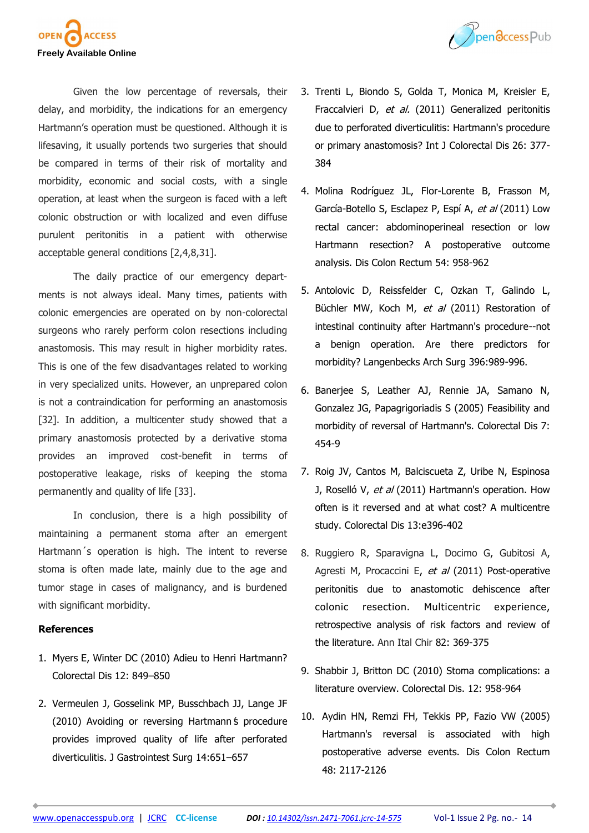

Given the low percentage of reversals, their delay, and morbidity, the indications for an emergency Hartmann's operation must be questioned. Although it is lifesaving, it usually portends two surgeries that should be compared in terms of their risk of mortality and morbidity, economic and social costs, with a single operation, at least when the surgeon is faced with a left colonic obstruction or with localized and even diffuse purulent peritonitis in a patient with otherwise acceptable general conditions [2,4,8,31].

The daily practice of our emergency departments is not always ideal. Many times, patients with colonic emergencies are operated on by non-colorectal surgeons who rarely perform colon resections including anastomosis. This may result in higher morbidity rates. This is one of the few disadvantages related to working in very specialized units. However, an unprepared colon is not a contraindication for performing an anastomosis [32]. In addition, a multicenter study showed that a primary anastomosis protected by a derivative stoma provides an improved cost-benefit in terms of postoperative leakage, risks of keeping the stoma permanently and quality of life [33].

In conclusion, there is a high possibility of maintaining a permanent stoma after an emergent Hartmann´s operation is high. The intent to reverse stoma is often made late, mainly due to the age and tumor stage in cases of malignancy, and is burdened with significant morbidity.

## **References**

- 1. Myers E, Winter DC (2010) Adieu to Henri Hartmann? Colorectal Dis 12: 849–850
- 2. Vermeulen J, Gosselink MP, Busschbach JJ, Lange JF (2010) Avoiding or reversing Hartmann's procedure provides improved quality of life after perforated diverticulitis. J Gastrointest Surg 14:651–657
- 3. Trenti L, Biondo S, Golda T, Monica M, Kreisler E, Fraccalvieri D, et al. (2011) Generalized peritonitis due to perforated diverticulitis: Hartmann's procedure or primary anastomosis? Int J Colorectal Dis 26: 377- 384
- 4. Molina Rodríguez JL, Flor-Lorente B, Frasson M, García-Botello S, Esclapez P, Espí A, et al (2011) Low rectal cancer: abdominoperineal resection or low Hartmann resection? A postoperative outcome analysis. Dis Colon Rectum 54: 958-962
- 5. Antolovic D, Reissfelder C, Ozkan T, Galindo L, Büchler MW, Koch M, et al (2011) Restoration of intestinal continuity after Hartmann's procedure--not a benign operation. Are there predictors for morbidity? Langenbecks Arch Surg 396:989-996.
- 6. Banerjee S, Leather AJ, Rennie JA, Samano N, Gonzalez JG, Papagrigoriadis S (2005) Feasibility and morbidity of reversal of Hartmann's. Colorectal Dis 7: 454-9
- 7. Roig JV, Cantos M, Balciscueta Z, Uribe N, Espinosa J, Roselló V, et al (2011) Hartmann's operation. How often is it reversed and at what cost? A multicentre study. Colorectal Dis 13:e396-402
- 8. Ruggiero R, Sparavigna L, Docimo G, Gubitosi A, Agresti M, Procaccini E, et al (2011) Post-operative peritonitis due to anastomotic dehiscence after colonic resection. Multicentric experience, retrospective analysis of risk factors and review of the literature. Ann Ital Chir 82: 369-375
- 9. Shabbir J, Britton DC (2010) Stoma complications: a literature overview. Colorectal Dis. 12: 958-964
- 10. Aydin HN, Remzi FH, Tekkis PP, Fazio VW (2005) Hartmann's reversal is associated with high postoperative adverse events. Dis Colon Rectum 48: 2117-2126

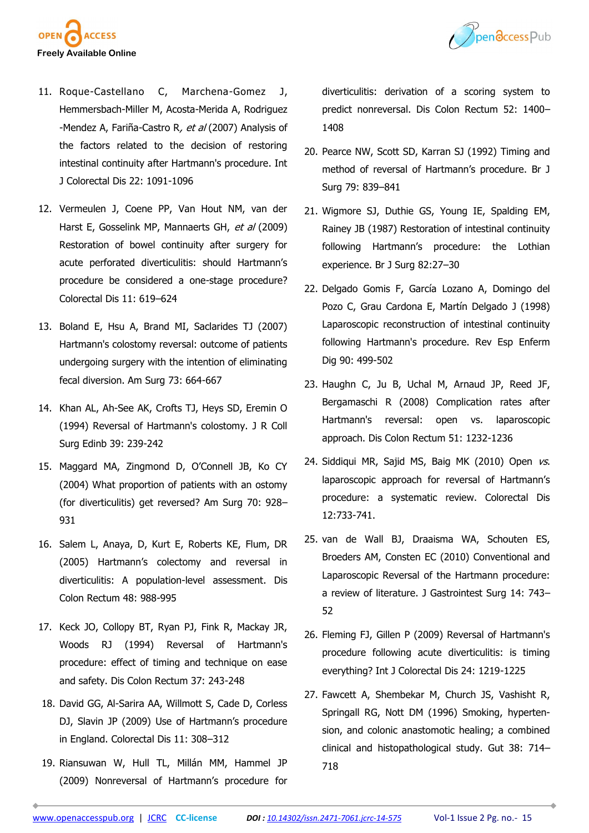



- 11. Roque-Castellano C, Marchena-Gomez J, Hemmersbach-Miller M, Acosta-Merida A, Rodriguez -Mendez A, Fariña-Castro R, et al (2007) Analysis of the factors related to the decision of restoring intestinal continuity after Hartmann's procedure. Int J Colorectal Dis 22: 1091-1096
- 12. Vermeulen J, Coene PP, Van Hout NM, van der Harst E, Gosselink MP, Mannaerts GH, et al (2009) Restoration of bowel continuity after surgery for acute perforated diverticulitis: should Hartmann's procedure be considered a one-stage procedure? Colorectal Dis 11: 619–624
- 13. Boland E, Hsu A, Brand MI, Saclarides TJ (2007) Hartmann's colostomy reversal: outcome of patients undergoing surgery with the intention of eliminating fecal diversion. Am Surg 73: 664-667
- 14. Khan AL, Ah-See AK, Crofts TJ, Heys SD, Eremin O (1994) Reversal of Hartmann's colostomy. J R Coll Surg Edinb 39: 239-242
- 15. Maggard MA, Zingmond D, O'Connell JB, Ko CY (2004) What proportion of patients with an ostomy (for diverticulitis) get reversed? Am Surg 70: 928– 931
- 16. Salem L, Anaya, D, Kurt E, Roberts KE, Flum, DR (2005) Hartmann's colectomy and reversal in diverticulitis: A population-level assessment. Dis Colon Rectum 48: 988-995
- 17. Keck JO, Collopy BT, Ryan PJ, Fink R, Mackay JR, Woods RJ (1994) Reversal of Hartmann's procedure: effect of timing and technique on ease and safety. Dis Colon Rectum 37: 243-248
- 18. David GG, Al-Sarira AA, Willmott S, Cade D, Corless DJ, Slavin JP (2009) Use of Hartmann's procedure in England. Colorectal Dis 11: 308–312
- 19. Riansuwan W, Hull TL, Millán MM, Hammel JP (2009) Nonreversal of Hartmann's procedure for

diverticulitis: derivation of a scoring system to predict nonreversal. Dis Colon Rectum 52: 1400– 1408

- 20. Pearce NW, Scott SD, Karran SJ (1992) Timing and method of reversal of Hartmann's procedure. Br J Surg 79: 839–841
- 21. Wigmore SJ, Duthie GS, Young IE, Spalding EM, Rainey JB (1987) Restoration of intestinal continuity following Hartmann's procedure: the Lothian experience. Br J Surg 82:27–30
- 22. Delgado Gomis F, García Lozano A, Domingo del Pozo C, Grau Cardona E, Martín Delgado J (1998) Laparoscopic reconstruction of intestinal continuity following Hartmann's procedure. Rev Esp Enferm Dig 90: 499-502
- 23. Haughn C, Ju B, Uchal M, Arnaud JP, Reed JF, Bergamaschi R (2008) Complication rates after Hartmann's reversal: open vs. laparoscopic approach. Dis Colon Rectum 51: 1232-1236
- 24. Siddiqui MR, Sajid MS, Baig MK (2010) Open vs. laparoscopic approach for reversal of Hartmann's procedure: a systematic review. Colorectal Dis 12:733-741.
- 25. van de Wall BJ, Draaisma WA, Schouten ES, Broeders AM, Consten EC (2010) Conventional and Laparoscopic Reversal of the Hartmann procedure: a review of literature. J Gastrointest Surg 14: 743– 52
- 26. Fleming FJ, Gillen P (2009) Reversal of Hartmann's procedure following acute diverticulitis: is timing everything? Int J Colorectal Dis 24: 1219-1225
- 27. Fawcett A, Shembekar M, Church JS, Vashisht R, Springall RG, Nott DM (1996) Smoking, hypertension, and colonic anastomotic healing; a combined clinical and histopathological study. Gut 38: 714– 718